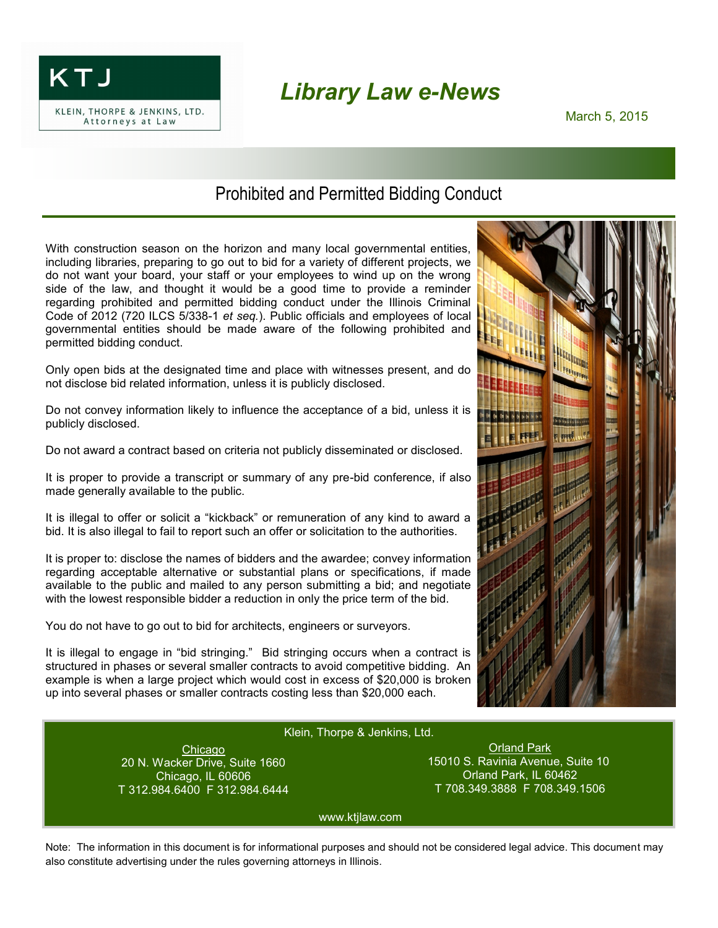

## *Library Law e-News*

## Prohibited and Permitted Bidding Conduct

With construction season on the horizon and many local governmental entities, including libraries, preparing to go out to bid for a variety of different projects, we do not want your board, your staff or your employees to wind up on the wrong side of the law, and thought it would be a good time to provide a reminder regarding prohibited and permitted bidding conduct under the Illinois Criminal Code of 2012 (720 ILCS 5/338-1 *et seq.*). Public officials and employees of local governmental entities should be made aware of the following prohibited and permitted bidding conduct.

Only open bids at the designated time and place with witnesses present, and do not disclose bid related information, unless it is publicly disclosed.

Do not convey information likely to influence the acceptance of a bid, unless it is publicly disclosed.

Do not award a contract based on criteria not publicly disseminated or disclosed.

It is proper to provide a transcript or summary of any pre-bid conference, if also made generally available to the public.

It is illegal to offer or solicit a "kickback" or remuneration of any kind to award a bid. It is also illegal to fail to report such an offer or solicitation to the authorities.

It is proper to: disclose the names of bidders and the awardee; convey information regarding acceptable alternative or substantial plans or specifications, if made available to the public and mailed to any person submitting a bid; and negotiate with the lowest responsible bidder a reduction in only the price term of the bid.

You do not have to go out to bid for architects, engineers or surveyors.

It is illegal to engage in "bid stringing." Bid stringing occurs when a contract is structured in phases or several smaller contracts to avoid competitive bidding. An example is when a large project which would cost in excess of \$20,000 is broken up into several phases or smaller contracts costing less than \$20,000 each.



## Klein, Thorpe & Jenkins, Ltd. Klein, Thorpe & Jenkins, Ltd.

Chicago Chicago 20 N. Wacker Drive, Suite 1660 T 312.984.6400 F 312.984.6444 20 N. Wacker Drive, Suite 1660 Chicago, IL 60606

Orland Park Orland Park 15010 S. Ravinia Avenue, Suite 10 T 708.349.3888 F 708.349.1506 15010 S. Ravinia Avenue, Suite 10 Orland Park, IL 60462

www.ktjlaw.com www.ktjlaw.com

Note: The information in this document is for informational purposes and should not be considered legal advice. This document may also constitute advertising under the rules governing attorneys in Illinois.